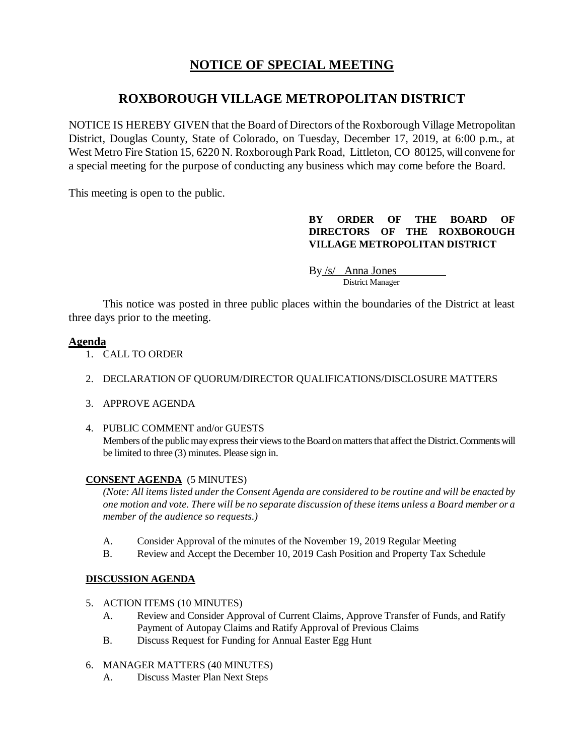# **NOTICE OF SPECIAL MEETING**

## **ROXBOROUGH VILLAGE METROPOLITAN DISTRICT**

NOTICE IS HEREBY GIVEN that the Board of Directors of the Roxborough Village Metropolitan District, Douglas County, State of Colorado, on Tuesday, December 17, 2019, at 6:00 p.m., at West Metro Fire Station 15, 6220 N. Roxborough Park Road, Littleton, CO 80125, will convene for a special meeting for the purpose of conducting any business which may come before the Board.

This meeting is open to the public.

## **BY ORDER OF THE BOARD OF DIRECTORS OF THE ROXBOROUGH VILLAGE METROPOLITAN DISTRICT**

By /s/ Anna Jones<br>District Manager

This notice was posted in three public places within the boundaries of the District at least three days prior to the meeting.

## **Agenda**

- 1. CALL TO ORDER
- 2. DECLARATION OF QUORUM/DIRECTOR QUALIFICATIONS/DISCLOSURE MATTERS
- 3. APPROVE AGENDA
- 4. PUBLIC COMMENT and/or GUESTS Members of the public may express their views to the Board on matters that affect the District. Comments will be limited to three (3) minutes. Please sign in.

## **CONSENT AGENDA** (5 MINUTES)

*(Note: All items listed under the Consent Agenda are considered to be routine and will be enacted by one motion and vote. There will be no separate discussion of these items unless a Board member or a member of the audience so requests.)* 

- A. Consider Approval of the minutes of the November 19, 2019 Regular Meeting
- B. Review and Accept the December 10, 2019 Cash Position and Property Tax Schedule

## **DISCUSSION AGENDA**

- 5. ACTION ITEMS (10 MINUTES)
	- A. Review and Consider Approval of Current Claims, Approve Transfer of Funds, and Ratify Payment of Autopay Claims and Ratify Approval of Previous Claims
	- B. Discuss Request for Funding for Annual Easter Egg Hunt
- 6. MANAGER MATTERS (40 MINUTES)
	- A. Discuss Master Plan Next Steps